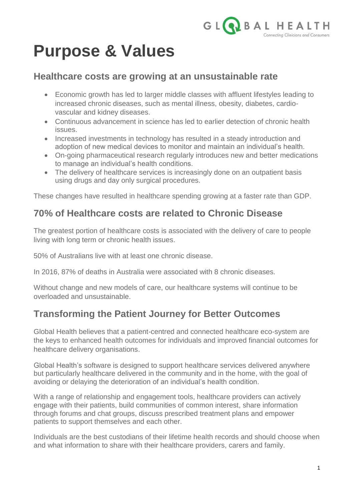

# **Purpose & Values**

#### **Healthcare costs are growing at an unsustainable rate**

- Economic growth has led to larger middle classes with affluent lifestyles leading to increased chronic diseases, such as mental illness, obesity, diabetes, cardiovascular and kidney diseases.
- Continuous advancement in science has led to earlier detection of chronic health issues.
- Increased investments in technology has resulted in a steady introduction and adoption of new medical devices to monitor and maintain an individual's health.
- On-going pharmaceutical research regularly introduces new and better medications to manage an individual's health conditions.
- The delivery of healthcare services is increasingly done on an outpatient basis using drugs and day only surgical procedures.

These changes have resulted in healthcare spending growing at a faster rate than GDP.

# **70% of Healthcare costs are related to Chronic Disease**

The greatest portion of healthcare costs is associated with the delivery of care to people living with long term or chronic health issues.

50% of Australians live with at least one chronic disease.

In 2016, 87% of deaths in Australia were associated with 8 chronic diseases.

Without change and new models of care, our healthcare systems will continue to be overloaded and unsustainable.

### **Transforming the Patient Journey for Better Outcomes**

Global Health believes that a patient-centred and connected healthcare eco-system are the keys to enhanced health outcomes for individuals and improved financial outcomes for healthcare delivery organisations.

Global Health's software is designed to support healthcare services delivered anywhere but particularly healthcare delivered in the community and in the home, with the goal of avoiding or delaying the deterioration of an individual's health condition.

With a range of relationship and engagement tools, healthcare providers can actively engage with their patients, build communities of common interest, share information through forums and chat groups, discuss prescribed treatment plans and empower patients to support themselves and each other.

Individuals are the best custodians of their lifetime health records and should choose when and what information to share with their healthcare providers, carers and family.